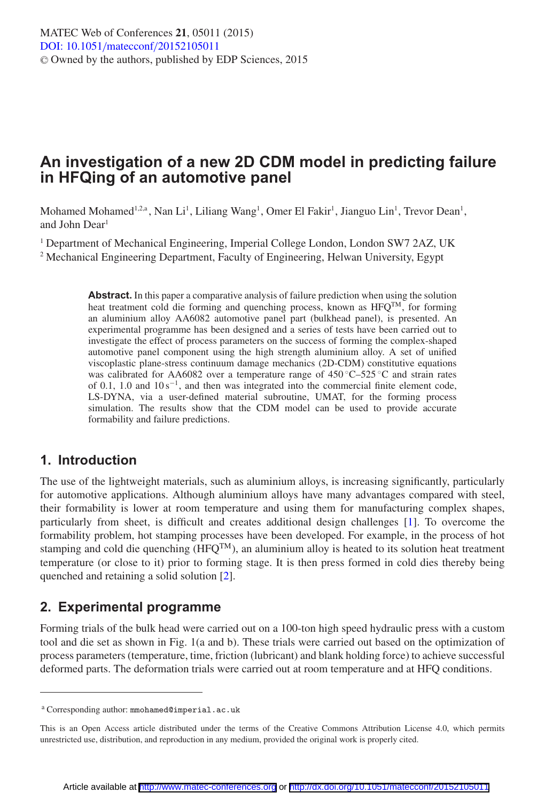# **An investigation of a new 2D CDM model in predicting failure in HFQing of an automotive panel**

Mohamed Mohamed<sup>1,2,a</sup>, Nan Li<sup>1</sup>, Liliang Wang<sup>1</sup>, Omer El Fakir<sup>1</sup>, Jianguo Lin<sup>1</sup>, Trevor Dean<sup>1</sup>, and John Dear<sup>1</sup>

<sup>1</sup> Department of Mechanical Engineering, Imperial College London, London SW7 2AZ, UK <sup>2</sup> Mechanical Engineering Department, Faculty of Engineering, Helwan University, Egypt

> **Abstract.** In this paper a comparative analysis of failure prediction when using the solution heat treatment cold die forming and quenching process, known as HFQ<sup>TM</sup>, for forming an aluminium alloy AA6082 automotive panel part (bulkhead panel), is presented. An experimental programme has been designed and a series of tests have been carried out to investigate the effect of process parameters on the success of forming the complex-shaped automotive panel component using the high strength aluminium alloy. A set of unified viscoplastic plane-stress continuum damage mechanics (2D-CDM) constitutive equations was calibrated for AA6082 over a temperature range of  $450^{\circ}$ C–525 °C and strain rates of 0.1, 1.0 and  $10 s^{-1}$ , and then was integrated into the commercial finite element code, LS-DYNA, via a user-defined material subroutine, UMAT, for the forming process simulation. The results show that the CDM model can be used to provide accurate formability and failure predictions.

### **1. Introduction**

The use of the lightweight materials, such as aluminium alloys, is increasing significantly, particularly for automotive applications. Although aluminium alloys have many advantages compared with steel, their formability is lower at room temperature and using them for manufacturing complex shapes, particularly from sheet, is difficult and creates additional design challenges [\[1\]](#page-5-0). To overcome the formability problem, hot stamping processes have been developed. For example, in the process of hot stamping and cold die quenching  $(HFQ^{TM})$ , an aluminium alloy is heated to its solution heat treatment temperature (or close to it) prior to forming stage. It is then press formed in cold dies thereby being quenched and retaining a solid solution [\[2\]](#page-5-1).

### **2. Experimental programme**

Forming trials of the bulk head were carried out on a 100-ton high speed hydraulic press with a custom tool and die set as shown in Fig. 1(a and b). These trials were carried out based on the optimization of process parameters (temperature, time, friction (lubricant) and blank holding force) to achieve successful deformed parts. The deformation trials were carried out at room temperature and at HFQ conditions.

<sup>a</sup> Corresponding author: mmohamed@imperial.ac.uk

This is an Open Access article distributed under the terms of the Creative Commons Attribution License 4.0, which permits unrestricted use, distribution, and reproduction in any medium, provided the original work is properly cited.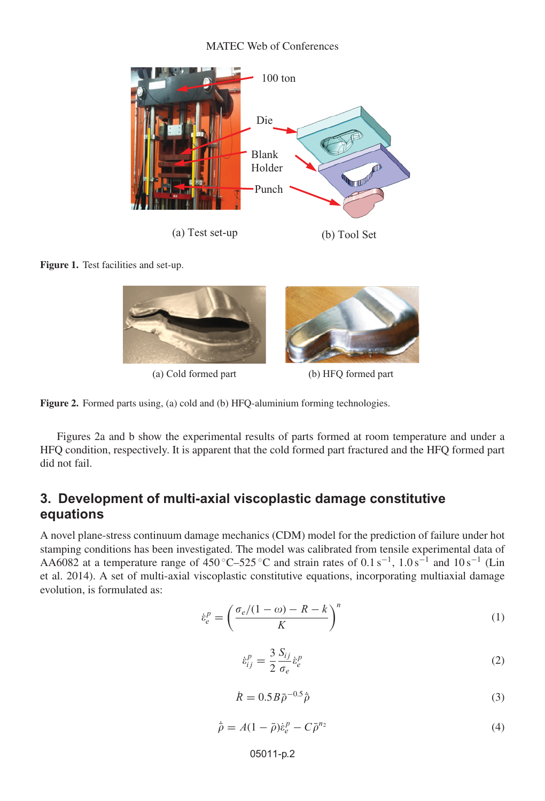#### MATEC Web of Conferences



**Figure 1.** Test facilities and set-up.





Figures 2a and b show the experimental results of parts formed at room temperature and under a HFQ condition, respectively. It is apparent that the cold formed part fractured and the HFQ formed part did not fail.

## **3. Development of multi-axial viscoplastic damage constitutive equations**

A novel plane-stress continuum damage mechanics (CDM) model for the prediction of failure under hot stamping conditions has been investigated. The model was calibrated from tensile experimental data of AA6082 at a temperature range of 450 °C–525 °C and strain rates of  $0.1 \text{ s}^{-1}$ ,  $1.0 \text{ s}^{-1}$  and  $10 \text{ s}^{-1}$  (Lin et al. 2014). A set of multi-axial viscoplastic constitutive equations, incorporating multiaxial damage evolution, is formulated as:

$$
\dot{\varepsilon}_e^p = \left(\frac{\sigma_e/(1-\omega) - R - k}{K}\right)^n\tag{1}
$$

$$
\dot{\varepsilon}_{ij}^p = \frac{3}{2} \frac{S_{ij}}{\sigma_e} \dot{\varepsilon}_e^p \tag{2}
$$

$$
\dot{R} = 0.5B\bar{\rho}^{-0.5}\dot{\bar{\rho}}\tag{3}
$$

$$
\dot{\bar{\rho}} = A(1 - \bar{\rho})\dot{\varepsilon}_e^p - C\bar{\rho}^{n_2} \tag{4}
$$

#### 05011-p.2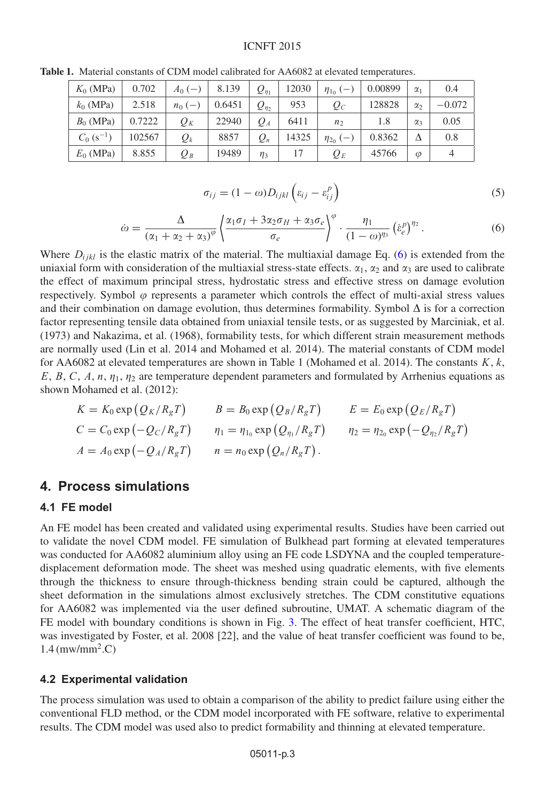#### ICNFT 2015

| $K_0$ (MPa)              | 0.702  | $A_0$ ( $\rightarrow$ | 8.139  | $Q_{\eta_1}$ | 12030 | $\eta_{1_0}$ (- | 0.00899 | $\alpha_1$ | 0.4      |
|--------------------------|--------|-----------------------|--------|--------------|-------|-----------------|---------|------------|----------|
| $k_0$ (MPa)              | 2.518  | $n_0$ (–              | 0.6451 | $Q_{\eta_2}$ | 953   | $\varrho_{c}$   | 128828  | $\alpha_2$ | $-0.072$ |
| $B_0$ (MPa)              | 0.7222 | $Q_K$                 | 22940  | $Q_A$        | 6411  | n <sub>2</sub>  | 1.8     | $\alpha_3$ | 0.05     |
| $C_0$ (s <sup>-1</sup> ) | 102567 | $Q_k$                 | 8857   | $Q_n$        | 14325 | $\eta_{20}(-)$  | 0.8362  | Δ          | 0.8      |
| $E_0$ (MPa)              | 8.855  | $Q_B$                 | 19489  | $\eta_3$     | 17    | $Q_E$           | 45766   | $\varphi$  | 4        |

**Table 1.** Material constants of CDM model calibrated for AA6082 at elevated temperatures.

$$
\sigma_{ij} = (1 - \omega) D_{ijkl} \left( \varepsilon_{ij} - \varepsilon_{ij}^p \right) \tag{5}
$$

$$
\dot{\omega} = \frac{\Delta}{\left(\alpha_1 + \alpha_2 + \alpha_3\right)^{\varphi}} \left\{ \frac{\alpha_1 \sigma_I + 3\alpha_2 \sigma_H + \alpha_3 \sigma_e}{\sigma_e} \right\}^{\varphi} \cdot \frac{\eta_1}{(1 - \omega)^{\eta_3}} \left(\dot{\epsilon}_e^p\right)^{\eta_2} . \tag{6}
$$

<span id="page-2-0"></span>Where  $D_{ijkl}$  is the elastic matrix of the material. The multiaxial damage Eq. [\(6\)](#page-2-0) is extended from the uniaxial form with consideration of the multiaxial stress-state effects.  $\alpha_1$ ,  $\alpha_2$  and  $\alpha_3$  are used to calibrate the effect of maximum principal stress, hydrostatic stress and effective stress on damage evolution respectively. Symbol  $\varphi$  represents a parameter which controls the effect of multi-axial stress values and their combination on damage evolution, thus determines formability. Symbol  $\Delta$  is for a correction factor representing tensile data obtained from uniaxial tensile tests, or as suggested by Marciniak, et al. (1973) and Nakazima, et al. (1968), formability tests, for which different strain measurement methods are normally used (Lin et al. 2014 and Mohamed et al. 2014). The material constants of CDM model for AA6082 at elevated temperatures are shown in Table 1 (Mohamed et al. 2014). The constants  $K, k$ , E, B, C, A, n,  $\eta_1$ ,  $\eta_2$  are temperature dependent parameters and formulated by Arrhenius equations as shown Mohamed et al. (2012):

$$
K = K_0 \exp (Q_K/R_g T)
$$
  
\n
$$
B = B_0 \exp (Q_B/R_g T)
$$
  
\n
$$
E = E_0 \exp (Q_E/R_g T)
$$
  
\n
$$
C = C_0 \exp (-Q_C/R_g T)
$$
  
\n
$$
\eta_1 = \eta_{1_0} \exp (Q_{\eta_1}/R_g T)
$$
  
\n
$$
\eta_2 = \eta_{2_0} \exp (-Q_{\eta_2}/R_g T)
$$
  
\n
$$
A = A_0 \exp (-Q_A/R_g T)
$$
  
\n
$$
n = n_0 \exp (Q_n/R_g T).
$$

### **4. Process simulations**

#### **4.1 FE model**

An FE model has been created and validated using experimental results. Studies have been carried out to validate the novel CDM model. FE simulation of Bulkhead part forming at elevated temperatures was conducted for AA6082 aluminium alloy using an FE code LSDYNA and the coupled temperaturedisplacement deformation mode. The sheet was meshed using quadratic elements, with five elements through the thickness to ensure through-thickness bending strain could be captured, although the sheet deformation in the simulations almost exclusively stretches. The CDM constitutive equations for AA6082 was implemented via the user defined subroutine, UMAT. A schematic diagram of the FE model with boundary conditions is shown in Fig. [3.](#page-3-0) The effect of heat transfer coefficient, HTC, was investigated by Foster, et al. 2008 [22], and the value of heat transfer coefficient was found to be,  $1.4 \,$ (mw/mm<sup>2</sup>.C)

#### **4.2 Experimental validation**

The process simulation was used to obtain a comparison of the ability to predict failure using either the conventional FLD method, or the CDM model incorporated with FE software, relative to experimental results. The CDM model was used also to predict formability and thinning at elevated temperature.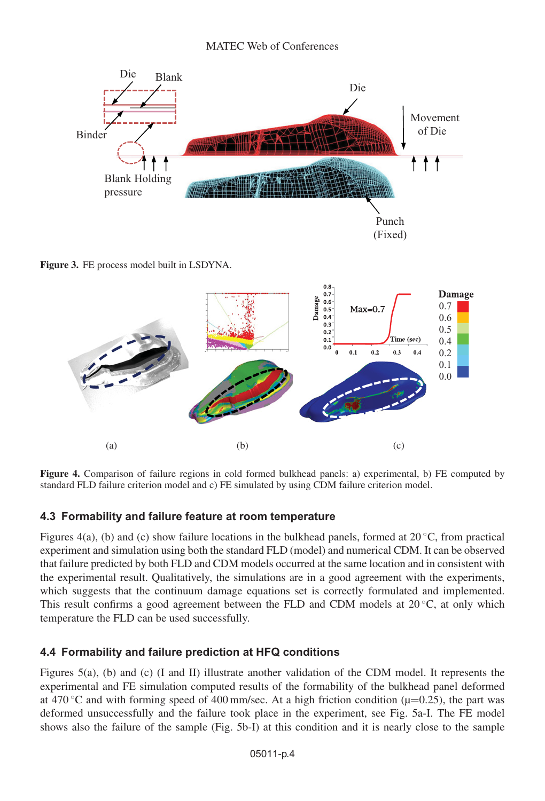<span id="page-3-0"></span>

**Figure 3.** FE process model built in LSDYNA.



**Figure 4.** Comparison of failure regions in cold formed bulkhead panels: a) experimental, b) FE computed by standard FLD failure criterion model and c) FE simulated by using CDM failure criterion model.

## **4.3 Formability and failure feature at room temperature**

Figures 4(a), (b) and (c) show failure locations in the bulkhead panels, formed at  $20^{\circ}$ C, from practical experiment and simulation using both the standard FLD (model) and numerical CDM. It can be observed that failure predicted by both FLD and CDM models occurred at the same location and in consistent with the experimental result. Qualitatively, the simulations are in a good agreement with the experiments, which suggests that the continuum damage equations set is correctly formulated and implemented. This result confirms a good agreement between the FLD and CDM models at  $20^{\circ}$ C, at only which temperature the FLD can be used successfully.

## **4.4 Formability and failure prediction at HFQ conditions**

Figures 5(a), (b) and (c) (I and II) illustrate another validation of the CDM model. It represents the experimental and FE simulation computed results of the formability of the bulkhead panel deformed at 470 °C and with forming speed of 400 mm/sec. At a high friction condition ( $\mu$ =0.25), the part was deformed unsuccessfully and the failure took place in the experiment, see Fig. 5a-I. The FE model shows also the failure of the sample (Fig. 5b-I) at this condition and it is nearly close to the sample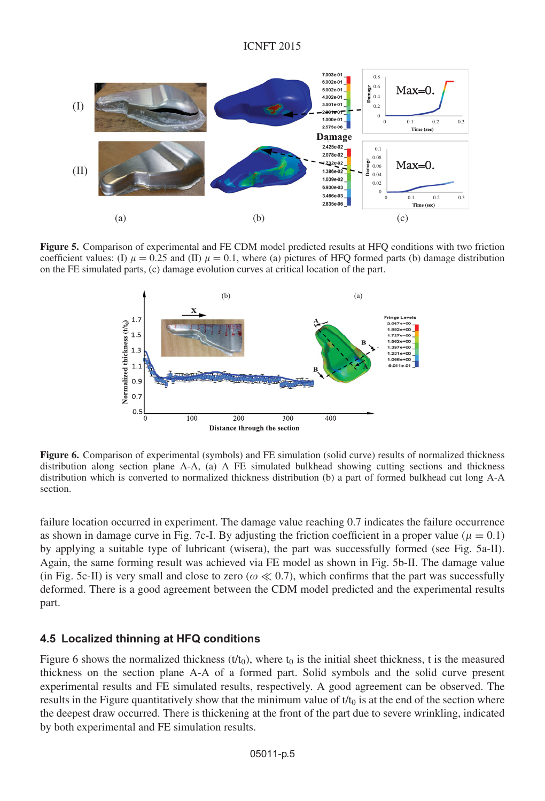

**Figure 5.** Comparison of experimental and FE CDM model predicted results at HFQ conditions with two friction coefficient values: (I)  $\mu = 0.25$  and (II)  $\mu = 0.1$ , where (a) pictures of HFQ formed parts (b) damage distribution on the FE simulated parts, (c) damage evolution curves at critical location of the part.



**Figure 6.** Comparison of experimental (symbols) and FE simulation (solid curve) results of normalized thickness distribution along section plane A-A, (a) A FE simulated bulkhead showing cutting sections and thickness distribution which is converted to normalized thickness distribution (b) a part of formed bulkhead cut long A-A section.

failure location occurred in experiment. The damage value reaching 0.7 indicates the failure occurrence as shown in damage curve in Fig. 7c-I. By adjusting the friction coefficient in a proper value ( $\mu = 0.1$ ) by applying a suitable type of lubricant (wisera), the part was successfully formed (see Fig. 5a-II). Again, the same forming result was achieved via FE model as shown in Fig. 5b-II. The damage value (in Fig. 5c-II) is very small and close to zero ( $\omega \ll 0.7$ ), which confirms that the part was successfully deformed. There is a good agreement between the CDM model predicted and the experimental results part.

#### **4.5 Localized thinning at HFQ conditions**

Figure 6 shows the normalized thickness ( $t/t_0$ ), where  $t_0$  is the initial sheet thickness, t is the measured thickness on the section plane A-A of a formed part. Solid symbols and the solid curve present experimental results and FE simulated results, respectively. A good agreement can be observed. The results in the Figure quantitatively show that the minimum value of  $t/t_0$  is at the end of the section where the deepest draw occurred. There is thickening at the front of the part due to severe wrinkling, indicated by both experimental and FE simulation results.